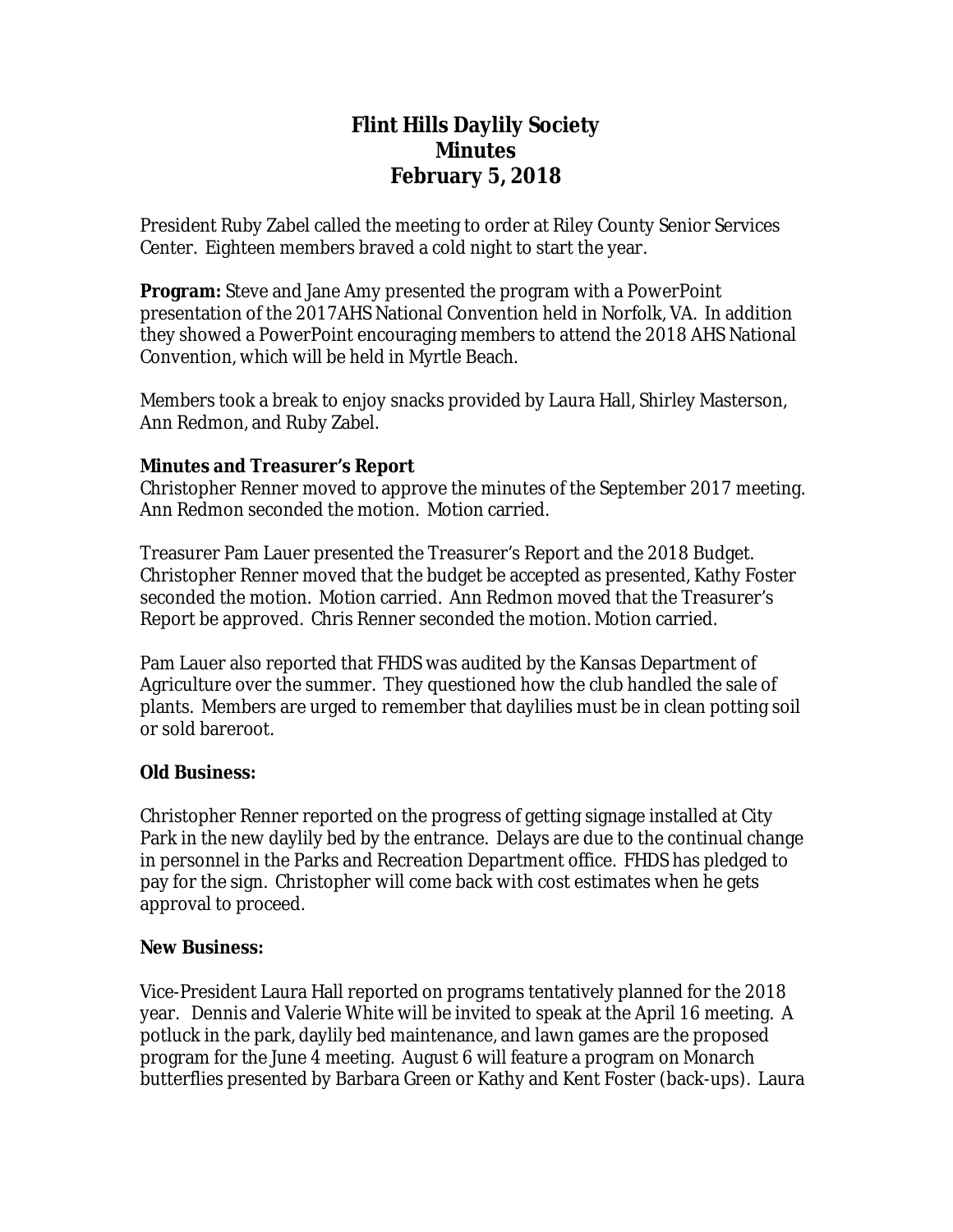# **Flint Hills Daylily Society Minutes February 5, 2018**

President Ruby Zabel called the meeting to order at Riley County Senior Services Center. Eighteen members braved a cold night to start the year.

**Program:** Steve and Jane Amy presented the program with a PowerPoint presentation of the 2017AHS National Convention held in Norfolk, VA. In addition they showed a PowerPoint encouraging members to attend the 2018 AHS National Convention, which will be held in Myrtle Beach.

Members took a break to enjoy snacks provided by Laura Hall, Shirley Masterson, Ann Redmon, and Ruby Zabel.

# **Minutes and Treasurer's Report**

Christopher Renner moved to approve the minutes of the September 2017 meeting. Ann Redmon seconded the motion. Motion carried.

Treasurer Pam Lauer presented the Treasurer's Report and the 2018 Budget. Christopher Renner moved that the budget be accepted as presented, Kathy Foster seconded the motion. Motion carried. Ann Redmon moved that the Treasurer's Report be approved. Chris Renner seconded the motion. Motion carried.

Pam Lauer also reported that FHDS was audited by the Kansas Department of Agriculture over the summer. They questioned how the club handled the sale of plants. Members are urged to remember that daylilies must be in clean potting soil or sold bareroot.

# **Old Business:**

Christopher Renner reported on the progress of getting signage installed at City Park in the new daylily bed by the entrance. Delays are due to the continual change in personnel in the Parks and Recreation Department office. FHDS has pledged to pay for the sign. Christopher will come back with cost estimates when he gets approval to proceed.

# **New Business:**

Vice-President Laura Hall reported on programs tentatively planned for the 2018 year. Dennis and Valerie White will be invited to speak at the April 16 meeting. A potluck in the park, daylily bed maintenance, and lawn games are the proposed program for the June 4 meeting. August 6 will feature a program on Monarch butterflies presented by Barbara Green or Kathy and Kent Foster (back-ups). Laura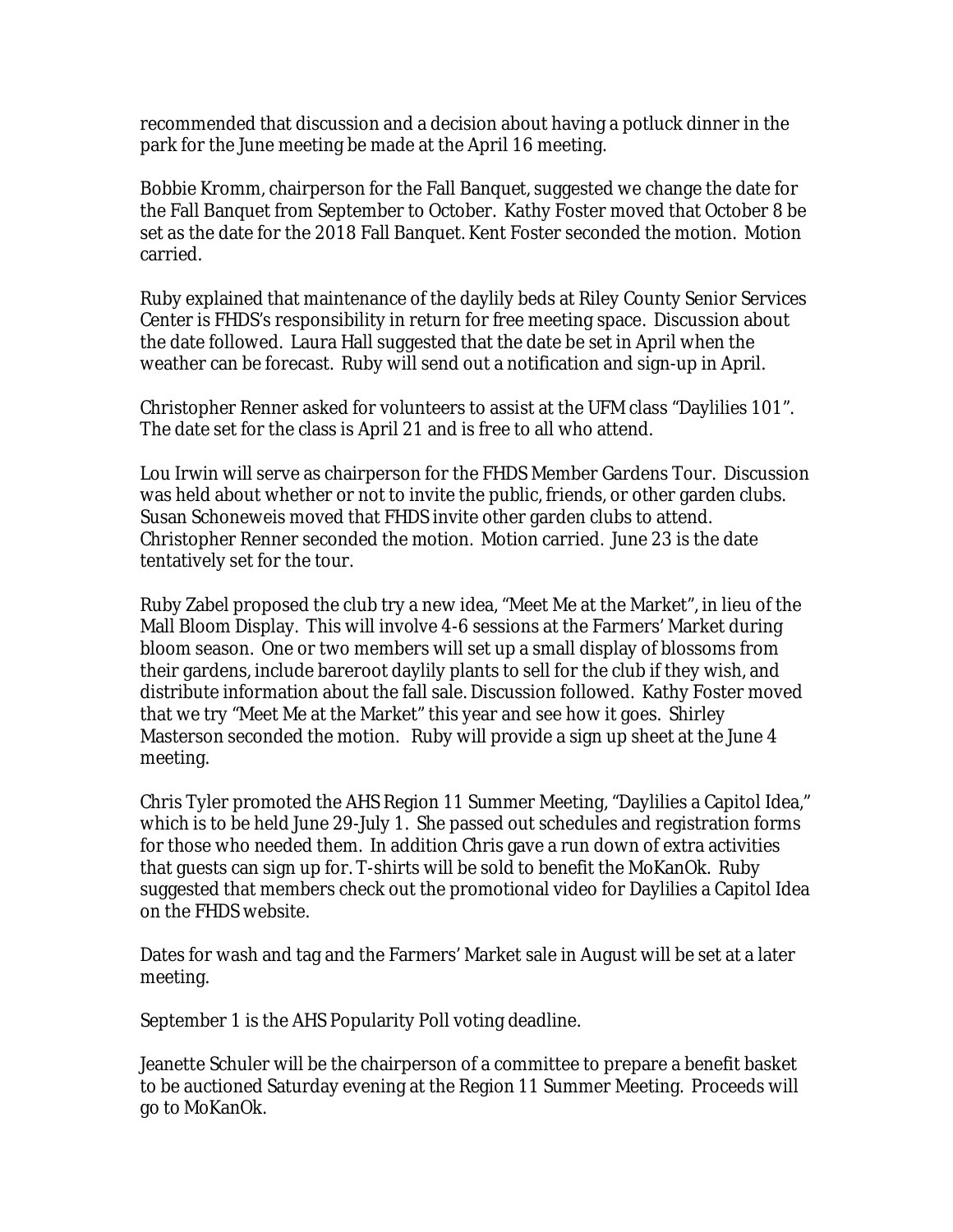recommended that discussion and a decision about having a potluck dinner in the park for the June meeting be made at the April 16 meeting.

Bobbie Kromm, chairperson for the Fall Banquet, suggested we change the date for the Fall Banquet from September to October. Kathy Foster moved that October 8 be set as the date for the 2018 Fall Banquet. Kent Foster seconded the motion. Motion carried.

Ruby explained that maintenance of the daylily beds at Riley County Senior Services Center is FHDS's responsibility in return for free meeting space. Discussion about the date followed. Laura Hall suggested that the date be set in April when the weather can be forecast. Ruby will send out a notification and sign-up in April.

Christopher Renner asked for volunteers to assist at the UFM class "Daylilies 101". The date set for the class is April 21 and is free to all who attend.

Lou Irwin will serve as chairperson for the FHDS Member Gardens Tour. Discussion was held about whether or not to invite the public, friends, or other garden clubs. Susan Schoneweis moved that FHDS invite other garden clubs to attend. Christopher Renner seconded the motion. Motion carried. June 23 is the date tentatively set for the tour.

Ruby Zabel proposed the club try a new idea, "Meet Me at the Market", in lieu of the Mall Bloom Display. This will involve 4-6 sessions at the Farmers' Market during bloom season. One or two members will set up a small display of blossoms from their gardens, include bareroot daylily plants to sell for the club if they wish, and distribute information about the fall sale. Discussion followed. Kathy Foster moved that we try "Meet Me at the Market" this year and see how it goes. Shirley Masterson seconded the motion. Ruby will provide a sign up sheet at the June 4 meeting.

Chris Tyler promoted the AHS Region 11 Summer Meeting, "Daylilies a Capitol Idea," which is to be held June 29-July 1. She passed out schedules and registration forms for those who needed them. In addition Chris gave a run down of extra activities that guests can sign up for. T-shirts will be sold to benefit the MoKanOk. Ruby suggested that members check out the promotional video for Daylilies a Capitol Idea on the FHDS website.

Dates for wash and tag and the Farmers' Market sale in August will be set at a later meeting.

September 1 is the AHS Popularity Poll voting deadline.

Jeanette Schuler will be the chairperson of a committee to prepare a benefit basket to be auctioned Saturday evening at the Region 11 Summer Meeting. Proceeds will go to MoKanOk.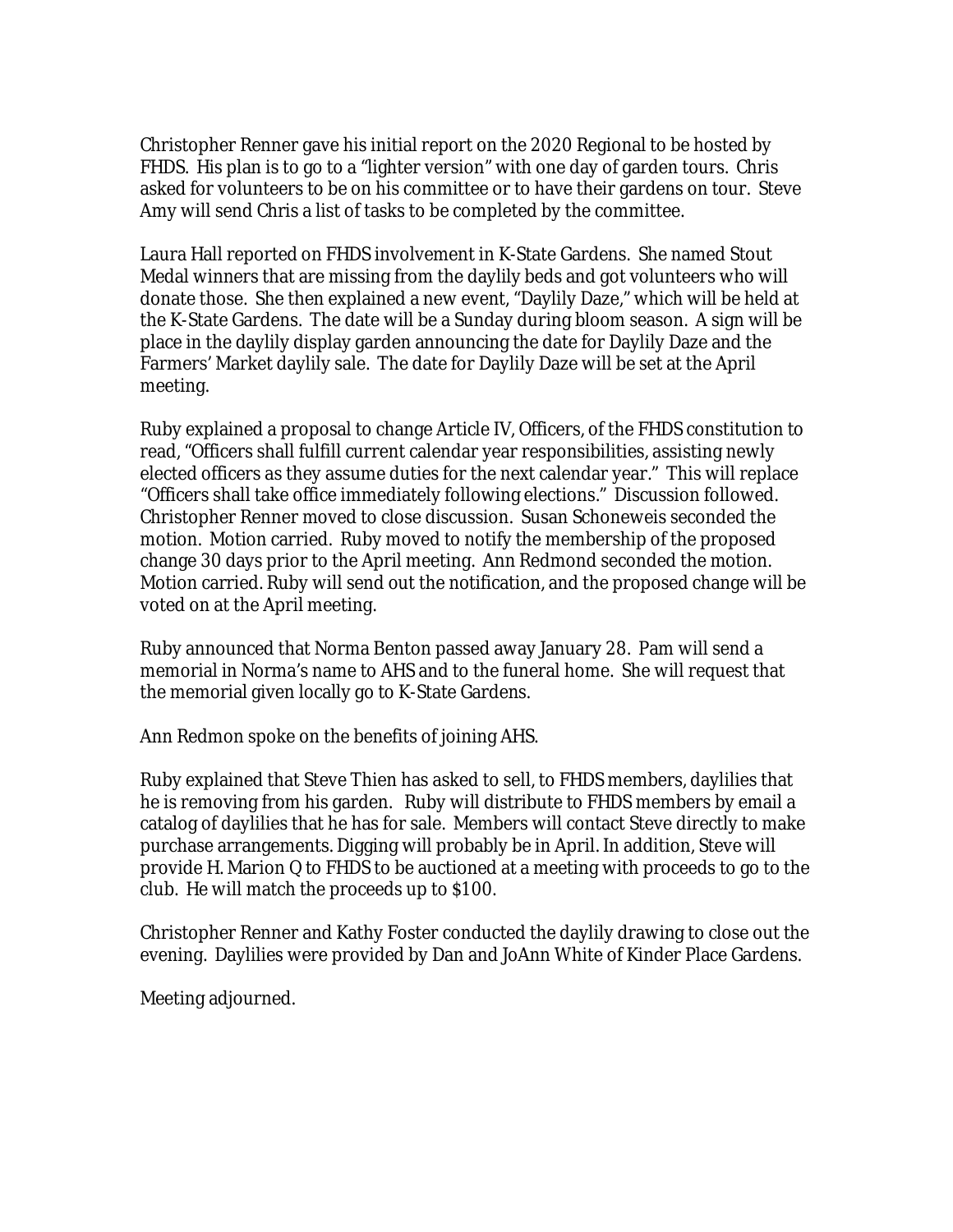Christopher Renner gave his initial report on the 2020 Regional to be hosted by FHDS. His plan is to go to a "lighter version" with one day of garden tours. Chris asked for volunteers to be on his committee or to have their gardens on tour. Steve Amy will send Chris a list of tasks to be completed by the committee.

Laura Hall reported on FHDS involvement in K-State Gardens. She named Stout Medal winners that are missing from the daylily beds and got volunteers who will donate those. She then explained a new event, "Daylily Daze," which will be held at the K-State Gardens. The date will be a Sunday during bloom season. A sign will be place in the daylily display garden announcing the date for Daylily Daze and the Farmers' Market daylily sale. The date for Daylily Daze will be set at the April meeting.

Ruby explained a proposal to change Article IV, Officers, of the FHDS constitution to read, "Officers shall fulfill current calendar year responsibilities, assisting newly elected officers as they assume duties for the next calendar year." This will replace "Officers shall take office immediately following elections." Discussion followed. Christopher Renner moved to close discussion. Susan Schoneweis seconded the motion. Motion carried. Ruby moved to notify the membership of the proposed change 30 days prior to the April meeting. Ann Redmond seconded the motion. Motion carried. Ruby will send out the notification, and the proposed change will be voted on at the April meeting.

Ruby announced that Norma Benton passed away January 28. Pam will send a memorial in Norma's name to AHS and to the funeral home. She will request that the memorial given locally go to K-State Gardens.

Ann Redmon spoke on the benefits of joining AHS.

Ruby explained that Steve Thien has asked to sell, to FHDS members, daylilies that he is removing from his garden. Ruby will distribute to FHDS members by email a catalog of daylilies that he has for sale. Members will contact Steve directly to make purchase arrangements. Digging will probably be in April. In addition, Steve will provide H. Marion Q to FHDS to be auctioned at a meeting with proceeds to go to the club. He will match the proceeds up to \$100.

Christopher Renner and Kathy Foster conducted the daylily drawing to close out the evening. Daylilies were provided by Dan and JoAnn White of Kinder Place Gardens.

Meeting adjourned.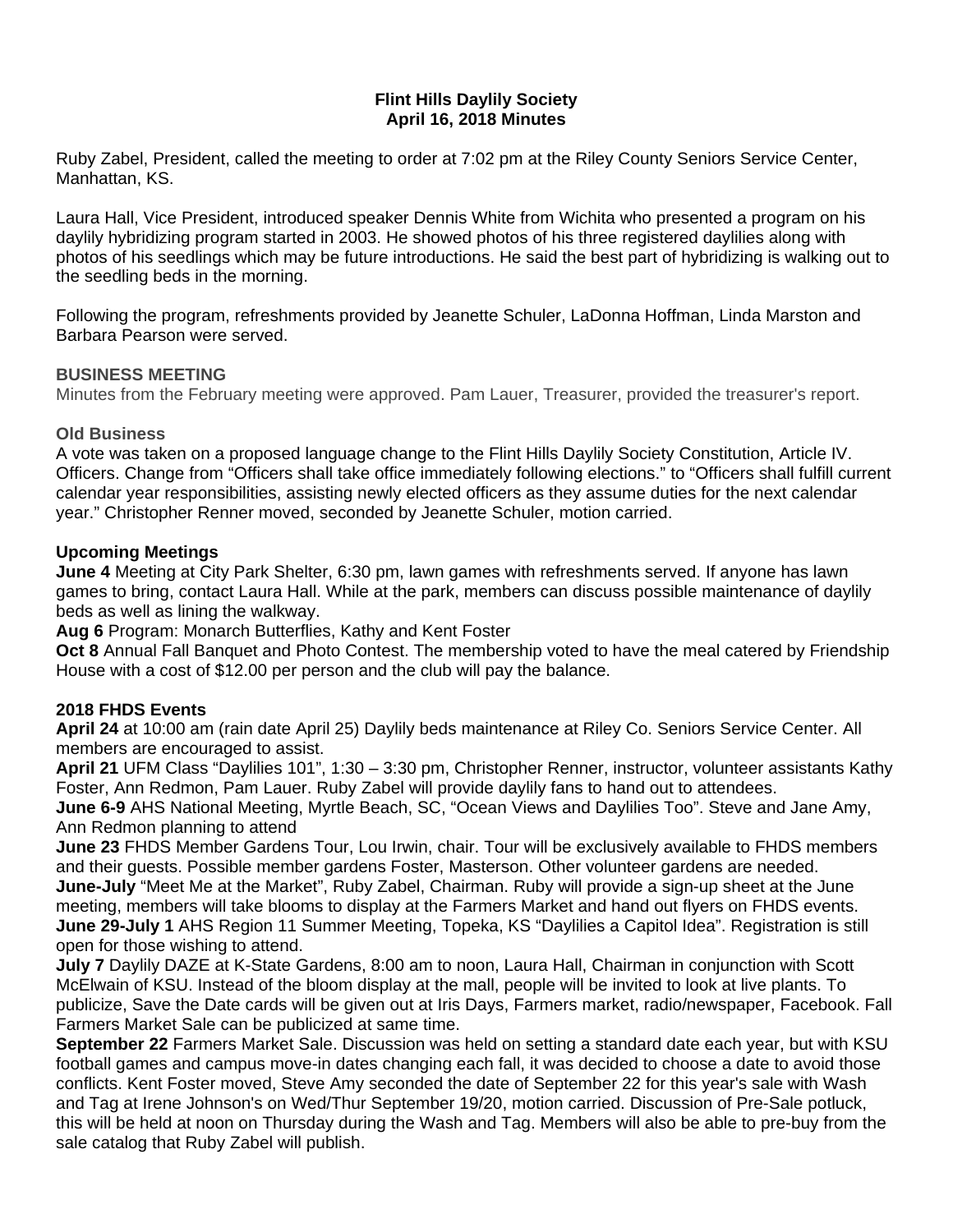### **Flint Hills Daylily Society April 16, 2018 Minutes**

Ruby Zabel, President, called the meeting to order at 7:02 pm at the Riley County Seniors Service Center, Manhattan, KS.

Laura Hall, Vice President, introduced speaker Dennis White from Wichita who presented a program on his daylily hybridizing program started in 2003. He showed photos of his three registered daylilies along with photos of his seedlings which may be future introductions. He said the best part of hybridizing is walking out to the seedling beds in the morning.

Following the program, refreshments provided by Jeanette Schuler, LaDonna Hoffman, Linda Marston and Barbara Pearson were served.

#### **BUSINESS MEETING**

Minutes from the February meeting were approved. Pam Lauer, Treasurer, provided the treasurer's report.

### **Old Business**

A vote was taken on a proposed language change to the Flint Hills Daylily Society Constitution, Article IV. Officers. Change from "Officers shall take office immediately following elections." to "Officers shall fulfill current calendar year responsibilities, assisting newly elected officers as they assume duties for the next calendar year." Christopher Renner moved, seconded by Jeanette Schuler, motion carried.

#### **Upcoming Meetings**

**June 4** Meeting at City Park Shelter, 6:30 pm, lawn games with refreshments served. If anyone has lawn games to bring, contact Laura Hall. While at the park, members can discuss possible maintenance of daylily beds as well as lining the walkway.

**Aug 6** Program: Monarch Butterflies, Kathy and Kent Foster

**Oct 8** Annual Fall Banquet and Photo Contest. The membership voted to have the meal catered by Friendship House with a cost of \$12.00 per person and the club will pay the balance.

### **2018 FHDS Events**

**April 24** at 10:00 am (rain date April 25) Daylily beds maintenance at Riley Co. Seniors Service Center. All members are encouraged to assist.

**April 21** UFM Class "Daylilies 101", 1:30 – 3:30 pm, Christopher Renner, instructor, volunteer assistants Kathy Foster, Ann Redmon, Pam Lauer. Ruby Zabel will provide daylily fans to hand out to attendees.

**June 6-9** AHS National Meeting, Myrtle Beach, SC, "Ocean Views and Daylilies Too". Steve and Jane Amy, Ann Redmon planning to attend

**June 23** FHDS Member Gardens Tour, Lou Irwin, chair. Tour will be exclusively available to FHDS members and their guests. Possible member gardens Foster, Masterson. Other volunteer gardens are needed. **June-July** "Meet Me at the Market", Ruby Zabel, Chairman. Ruby will provide a sign-up sheet at the June meeting, members will take blooms to display at the Farmers Market and hand out flyers on FHDS events. **June 29-July 1** AHS Region 11 Summer Meeting, Topeka, KS "Daylilies a Capitol Idea". Registration is still open for those wishing to attend.

**July 7** Daylily DAZE at K-State Gardens, 8:00 am to noon, Laura Hall, Chairman in conjunction with Scott McElwain of KSU. Instead of the bloom display at the mall, people will be invited to look at live plants. To publicize, Save the Date cards will be given out at Iris Days, Farmers market, radio/newspaper, Facebook. Fall Farmers Market Sale can be publicized at same time.

**September 22** Farmers Market Sale. Discussion was held on setting a standard date each year, but with KSU football games and campus move-in dates changing each fall, it was decided to choose a date to avoid those conflicts. Kent Foster moved, Steve Amy seconded the date of September 22 for this year's sale with Wash and Tag at Irene Johnson's on Wed/Thur September 19/20, motion carried. Discussion of Pre-Sale potluck, this will be held at noon on Thursday during the Wash and Tag. Members will also be able to pre-buy from the sale catalog that Ruby Zabel will publish.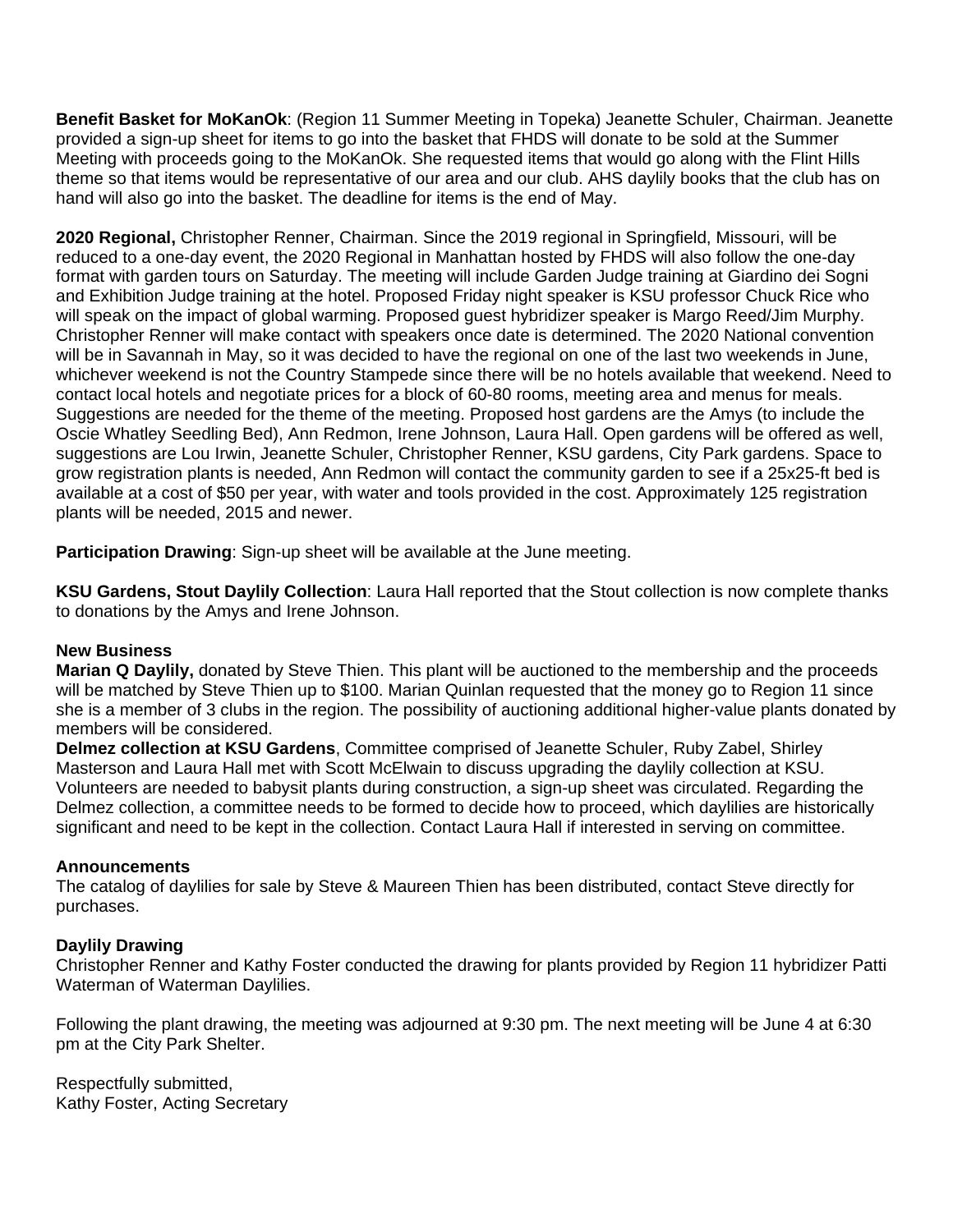**Benefit Basket for MoKanOk**: (Region 11 Summer Meeting in Topeka) Jeanette Schuler, Chairman. Jeanette provided a sign-up sheet for items to go into the basket that FHDS will donate to be sold at the Summer Meeting with proceeds going to the MoKanOk. She requested items that would go along with the Flint Hills theme so that items would be representative of our area and our club. AHS daylily books that the club has on hand will also go into the basket. The deadline for items is the end of May.

**2020 Regional,** Christopher Renner, Chairman. Since the 2019 regional in Springfield, Missouri, will be reduced to a one-day event, the 2020 Regional in Manhattan hosted by FHDS will also follow the one-day format with garden tours on Saturday. The meeting will include Garden Judge training at Giardino dei Sogni and Exhibition Judge training at the hotel. Proposed Friday night speaker is KSU professor Chuck Rice who will speak on the impact of global warming. Proposed guest hybridizer speaker is Margo Reed/Jim Murphy. Christopher Renner will make contact with speakers once date is determined. The 2020 National convention will be in Savannah in May, so it was decided to have the regional on one of the last two weekends in June, whichever weekend is not the Country Stampede since there will be no hotels available that weekend. Need to contact local hotels and negotiate prices for a block of 60-80 rooms, meeting area and menus for meals. Suggestions are needed for the theme of the meeting. Proposed host gardens are the Amys (to include the Oscie Whatley Seedling Bed), Ann Redmon, Irene Johnson, Laura Hall. Open gardens will be offered as well, suggestions are Lou Irwin, Jeanette Schuler, Christopher Renner, KSU gardens, City Park gardens. Space to grow registration plants is needed, Ann Redmon will contact the community garden to see if a 25x25-ft bed is available at a cost of \$50 per year, with water and tools provided in the cost. Approximately 125 registration plants will be needed, 2015 and newer.

**Participation Drawing**: Sign-up sheet will be available at the June meeting.

**KSU Gardens, Stout Daylily Collection**: Laura Hall reported that the Stout collection is now complete thanks to donations by the Amys and Irene Johnson.

#### **New Business**

**Marian Q Daylily,** donated by Steve Thien. This plant will be auctioned to the membership and the proceeds will be matched by Steve Thien up to \$100. Marian Quinlan requested that the money go to Region 11 since she is a member of 3 clubs in the region. The possibility of auctioning additional higher-value plants donated by members will be considered.

**Delmez collection at KSU Gardens**, Committee comprised of Jeanette Schuler, Ruby Zabel, Shirley Masterson and Laura Hall met with Scott McElwain to discuss upgrading the daylily collection at KSU. Volunteers are needed to babysit plants during construction, a sign-up sheet was circulated. Regarding the Delmez collection, a committee needs to be formed to decide how to proceed, which daylilies are historically significant and need to be kept in the collection. Contact Laura Hall if interested in serving on committee.

#### **Announcements**

The catalog of daylilies for sale by Steve & Maureen Thien has been distributed, contact Steve directly for purchases.

#### **Daylily Drawing**

Christopher Renner and Kathy Foster conducted the drawing for plants provided by Region 11 hybridizer Patti Waterman of Waterman Daylilies.

Following the plant drawing, the meeting was adjourned at 9:30 pm. The next meeting will be June 4 at 6:30 pm at the City Park Shelter.

Respectfully submitted, Kathy Foster, Acting Secretary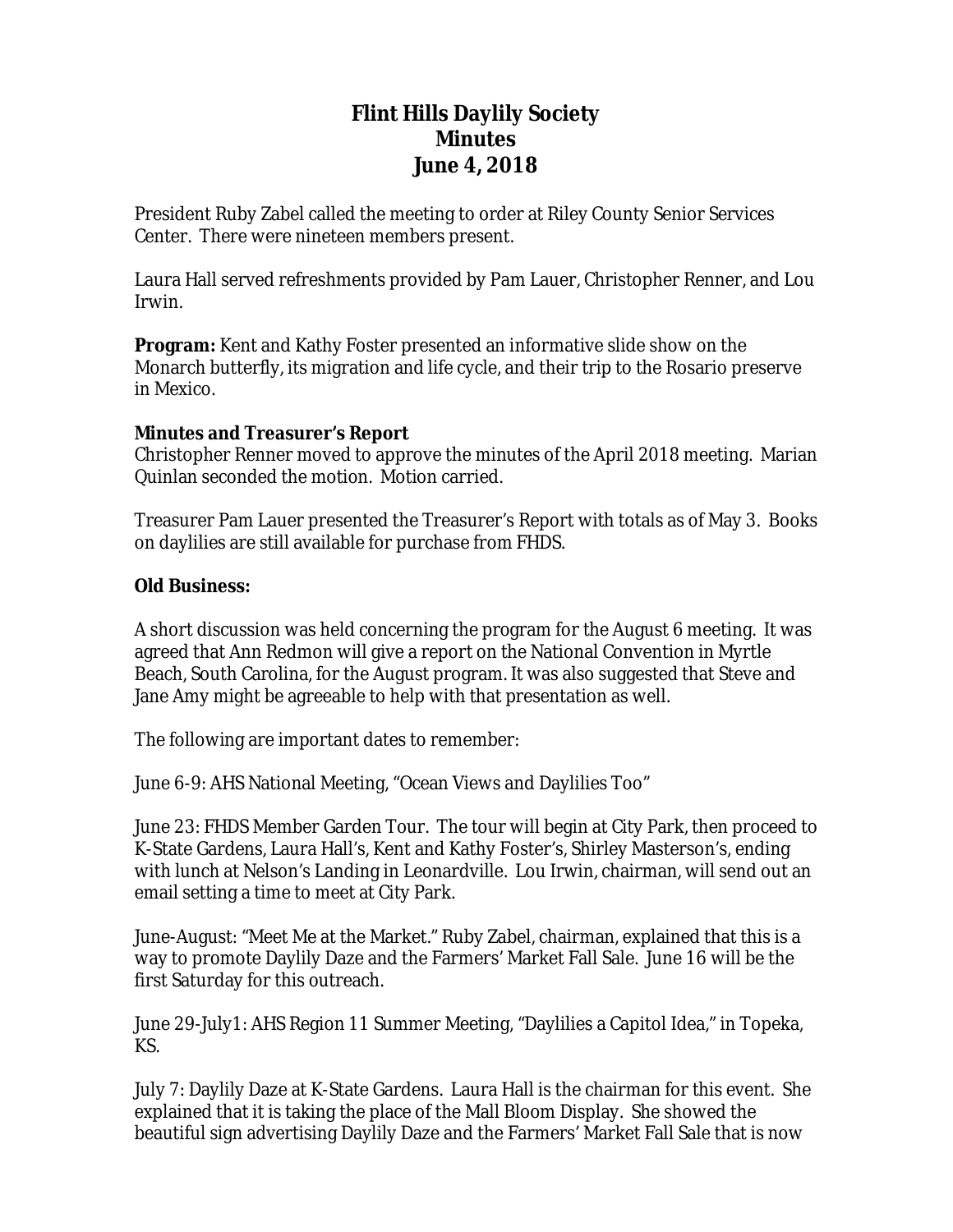# **Flint Hills Daylily Society Minutes June 4, 2018**

President Ruby Zabel called the meeting to order at Riley County Senior Services Center. There were nineteen members present.

Laura Hall served refreshments provided by Pam Lauer, Christopher Renner, and Lou Irwin.

**Program:** Kent and Kathy Foster presented an informative slide show on the Monarch butterfly, its migration and life cycle, and their trip to the Rosario preserve in Mexico.

# **Minutes and Treasurer's Report**

Christopher Renner moved to approve the minutes of the April 2018 meeting. Marian Quinlan seconded the motion. Motion carried.

Treasurer Pam Lauer presented the Treasurer's Report with totals as of May 3. Books on daylilies are still available for purchase from FHDS.

# **Old Business:**

A short discussion was held concerning the program for the August 6 meeting. It was agreed that Ann Redmon will give a report on the National Convention in Myrtle Beach, South Carolina, for the August program. It was also suggested that Steve and Jane Amy might be agreeable to help with that presentation as well.

The following are important dates to remember:

June 6-9: AHS National Meeting, "Ocean Views and Daylilies Too"

June 23: FHDS Member Garden Tour. The tour will begin at City Park, then proceed to K-State Gardens, Laura Hall's, Kent and Kathy Foster's, Shirley Masterson's, ending with lunch at Nelson's Landing in Leonardville. Lou Irwin, chairman, will send out an email setting a time to meet at City Park.

June-August: "Meet Me at the Market." Ruby Zabel, chairman, explained that this is a way to promote Daylily Daze and the Farmers' Market Fall Sale. June 16 will be the first Saturday for this outreach.

June 29-July1: AHS Region 11 Summer Meeting, "Daylilies a Capitol Idea," in Topeka, KS.

July 7: Daylily Daze at K-State Gardens. Laura Hall is the chairman for this event. She explained that it is taking the place of the Mall Bloom Display. She showed the beautiful sign advertising Daylily Daze and the Farmers' Market Fall Sale that is now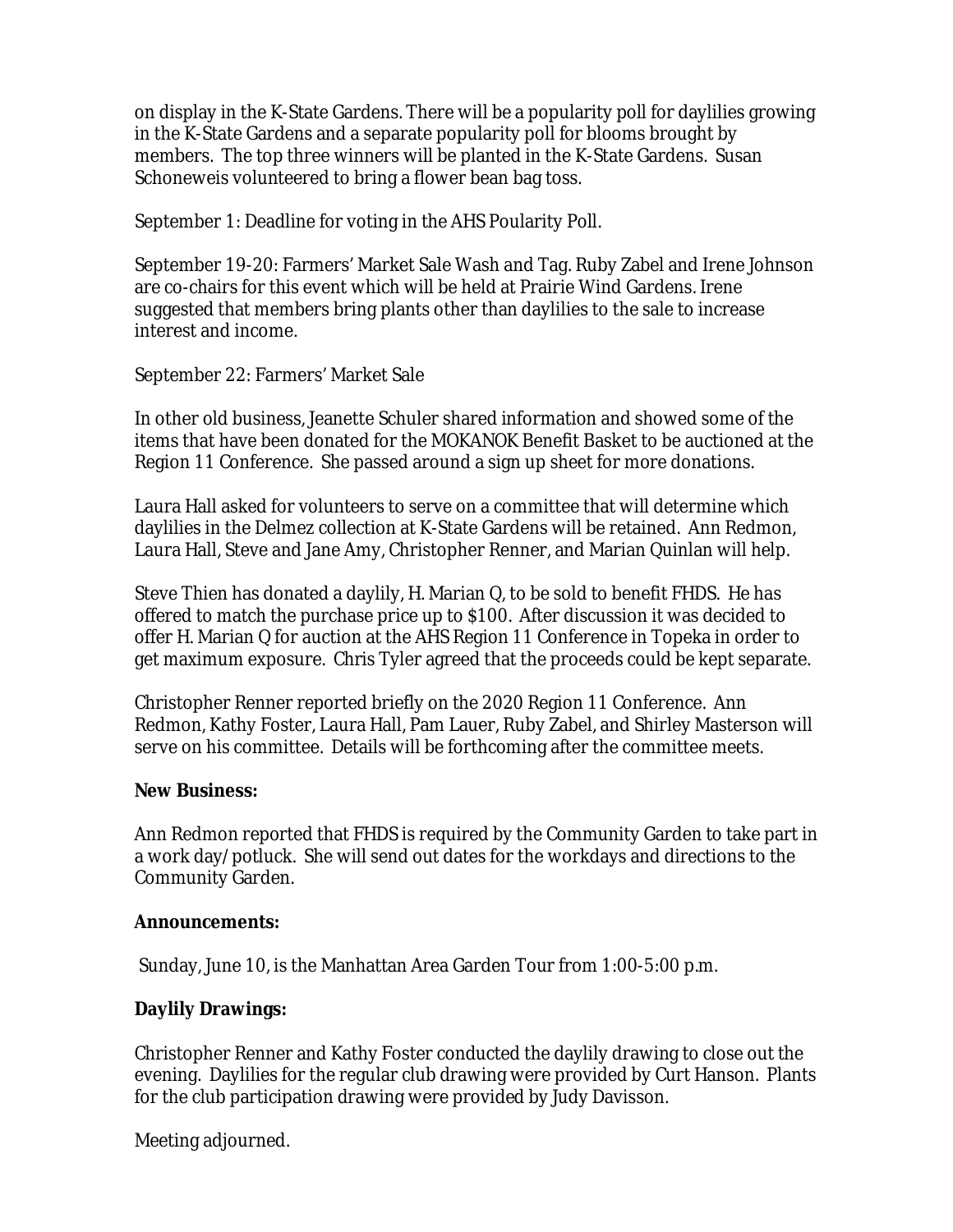on display in the K-State Gardens. There will be a popularity poll for daylilies growing in the K-State Gardens and a separate popularity poll for blooms brought by members. The top three winners will be planted in the K-State Gardens. Susan Schoneweis volunteered to bring a flower bean bag toss.

September 1: Deadline for voting in the AHS Poularity Poll.

September 19-20: Farmers' Market Sale Wash and Tag. Ruby Zabel and Irene Johnson are co-chairs for this event which will be held at Prairie Wind Gardens. Irene suggested that members bring plants other than daylilies to the sale to increase interest and income.

September 22: Farmers' Market Sale

In other old business, Jeanette Schuler shared information and showed some of the items that have been donated for the MOKANOK Benefit Basket to be auctioned at the Region 11 Conference. She passed around a sign up sheet for more donations.

Laura Hall asked for volunteers to serve on a committee that will determine which daylilies in the Delmez collection at K-State Gardens will be retained. Ann Redmon, Laura Hall, Steve and Jane Amy, Christopher Renner, and Marian Quinlan will help.

Steve Thien has donated a daylily, H. Marian Q, to be sold to benefit FHDS. He has offered to match the purchase price up to \$100. After discussion it was decided to offer H. Marian Q for auction at the AHS Region 11 Conference in Topeka in order to get maximum exposure. Chris Tyler agreed that the proceeds could be kept separate.

Christopher Renner reported briefly on the 2020 Region 11 Conference. Ann Redmon, Kathy Foster, Laura Hall, Pam Lauer, Ruby Zabel, and Shirley Masterson will serve on his committee. Details will be forthcoming after the committee meets.

# **New Business:**

Ann Redmon reported that FHDS is required by the Community Garden to take part in a work day/potluck. She will send out dates for the workdays and directions to the Community Garden.

# **Announcements:**

Sunday, June 10, is the Manhattan Area Garden Tour from 1:00-5:00 p.m.

# **Daylily Drawings:**

Christopher Renner and Kathy Foster conducted the daylily drawing to close out the evening. Daylilies for the regular club drawing were provided by Curt Hanson. Plants for the club participation drawing were provided by Judy Davisson.

Meeting adjourned.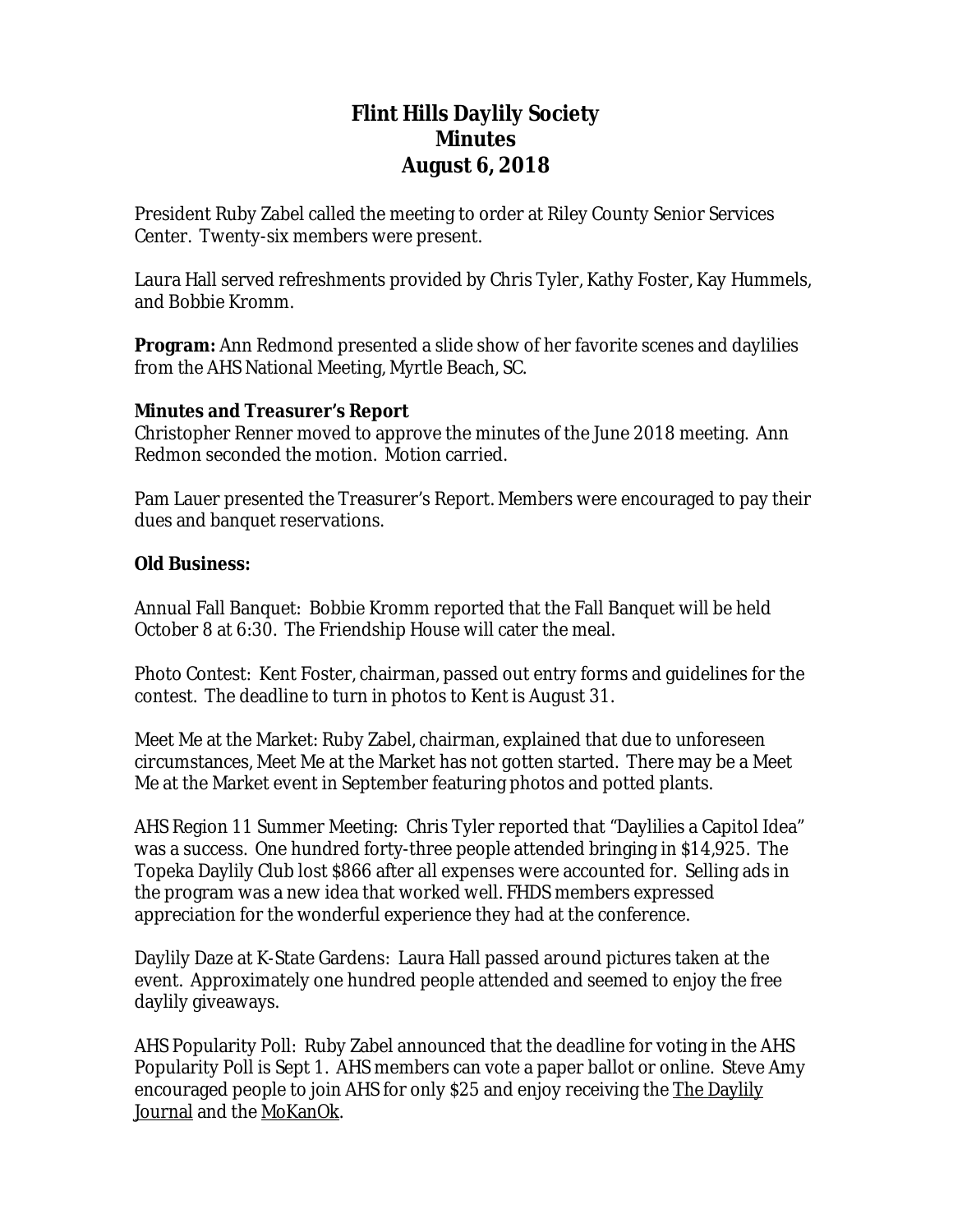# **Flint Hills Daylily Society Minutes August 6, 2018**

President Ruby Zabel called the meeting to order at Riley County Senior Services Center. Twenty-six members were present.

Laura Hall served refreshments provided by Chris Tyler, Kathy Foster, Kay Hummels, and Bobbie Kromm.

**Program:** Ann Redmond presented a slide show of her favorite scenes and daylilies from the AHS National Meeting, Myrtle Beach, SC.

## **Minutes and Treasurer's Report**

Christopher Renner moved to approve the minutes of the June 2018 meeting. Ann Redmon seconded the motion. Motion carried.

Pam Lauer presented the Treasurer's Report. Members were encouraged to pay their dues and banquet reservations.

# **Old Business:**

Annual Fall Banquet: Bobbie Kromm reported that the Fall Banquet will be held October 8 at 6:30. The Friendship House will cater the meal.

Photo Contest: Kent Foster, chairman, passed out entry forms and guidelines for the contest. The deadline to turn in photos to Kent is August 31.

Meet Me at the Market: Ruby Zabel, chairman, explained that due to unforeseen circumstances, Meet Me at the Market has not gotten started. There may be a Meet Me at the Market event in September featuring photos and potted plants.

AHS Region 11 Summer Meeting: Chris Tyler reported that "Daylilies a Capitol Idea" was a success. One hundred forty-three people attended bringing in \$14,925. The Topeka Daylily Club lost \$866 after all expenses were accounted for. Selling ads in the program was a new idea that worked well. FHDS members expressed appreciation for the wonderful experience they had at the conference.

Daylily Daze at K-State Gardens: Laura Hall passed around pictures taken at the event. Approximately one hundred people attended and seemed to enjoy the free daylily giveaways.

AHS Popularity Poll: Ruby Zabel announced that the deadline for voting in the AHS Popularity Poll is Sept 1. AHS members can vote a paper ballot or online. Steve Amy encouraged people to join AHS for only \$25 and enjoy receiving the The Daylily Journal and the MoKanOk.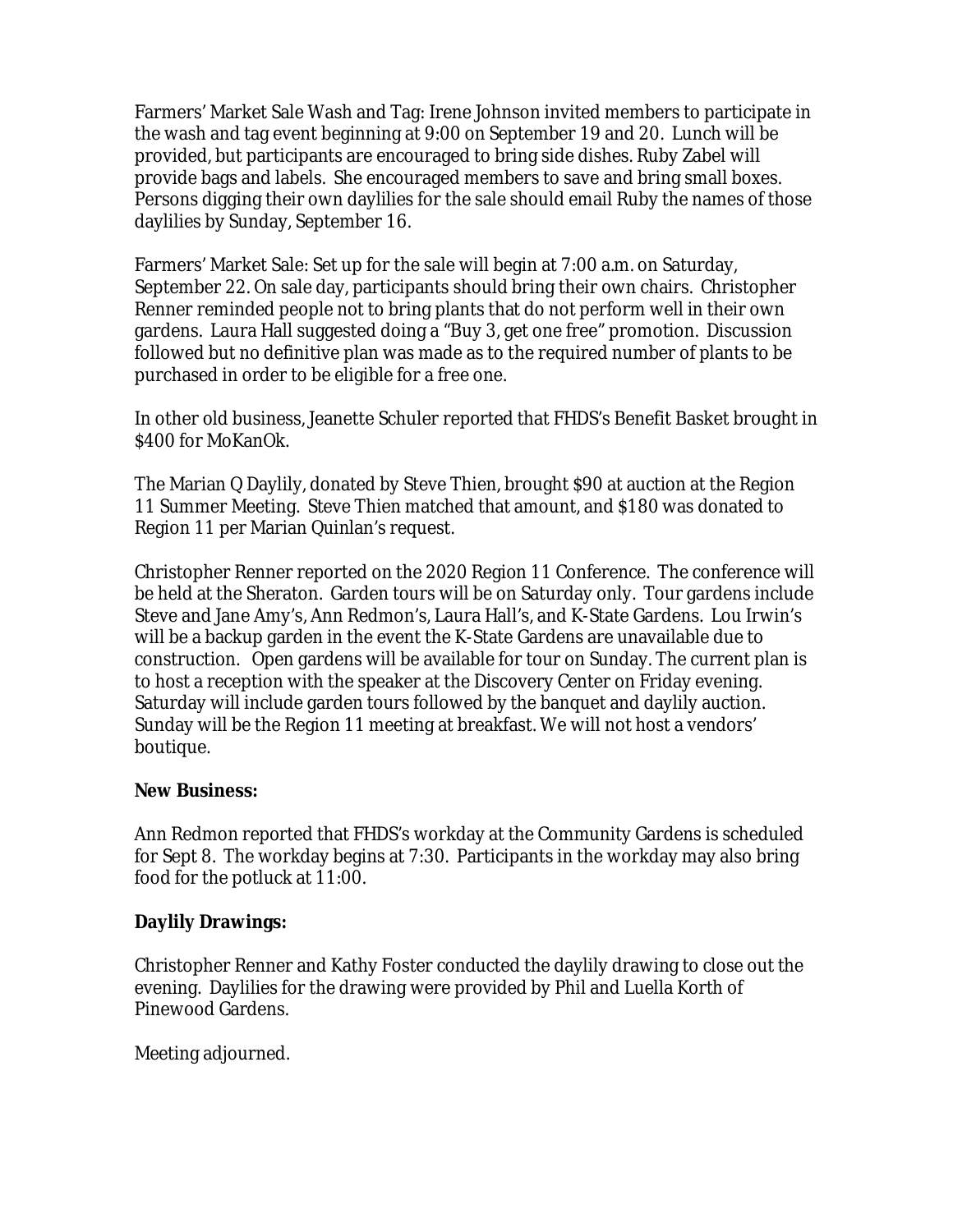Farmers' Market Sale Wash and Tag: Irene Johnson invited members to participate in the wash and tag event beginning at 9:00 on September 19 and 20. Lunch will be provided, but participants are encouraged to bring side dishes. Ruby Zabel will provide bags and labels. She encouraged members to save and bring small boxes. Persons digging their own daylilies for the sale should email Ruby the names of those daylilies by Sunday, September 16.

Farmers' Market Sale: Set up for the sale will begin at 7:00 a.m. on Saturday, September 22. On sale day, participants should bring their own chairs. Christopher Renner reminded people not to bring plants that do not perform well in their own gardens. Laura Hall suggested doing a "Buy 3, get one free" promotion. Discussion followed but no definitive plan was made as to the required number of plants to be purchased in order to be eligible for a free one.

In other old business, Jeanette Schuler reported that FHDS's Benefit Basket brought in \$400 for MoKanOk.

The Marian Q Daylily, donated by Steve Thien, brought \$90 at auction at the Region 11 Summer Meeting. Steve Thien matched that amount, and \$180 was donated to Region 11 per Marian Quinlan's request.

Christopher Renner reported on the 2020 Region 11 Conference. The conference will be held at the Sheraton. Garden tours will be on Saturday only. Tour gardens include Steve and Jane Amy's, Ann Redmon's, Laura Hall's, and K-State Gardens. Lou Irwin's will be a backup garden in the event the K-State Gardens are unavailable due to construction. Open gardens will be available for tour on Sunday. The current plan is to host a reception with the speaker at the Discovery Center on Friday evening. Saturday will include garden tours followed by the banquet and daylily auction. Sunday will be the Region 11 meeting at breakfast. We will not host a vendors' boutique.

# **New Business:**

Ann Redmon reported that FHDS's workday at the Community Gardens is scheduled for Sept 8. The workday begins at 7:30. Participants in the workday may also bring food for the potluck at 11:00.

# **Daylily Drawings:**

Christopher Renner and Kathy Foster conducted the daylily drawing to close out the evening. Daylilies for the drawing were provided by Phil and Luella Korth of Pinewood Gardens.

Meeting adjourned.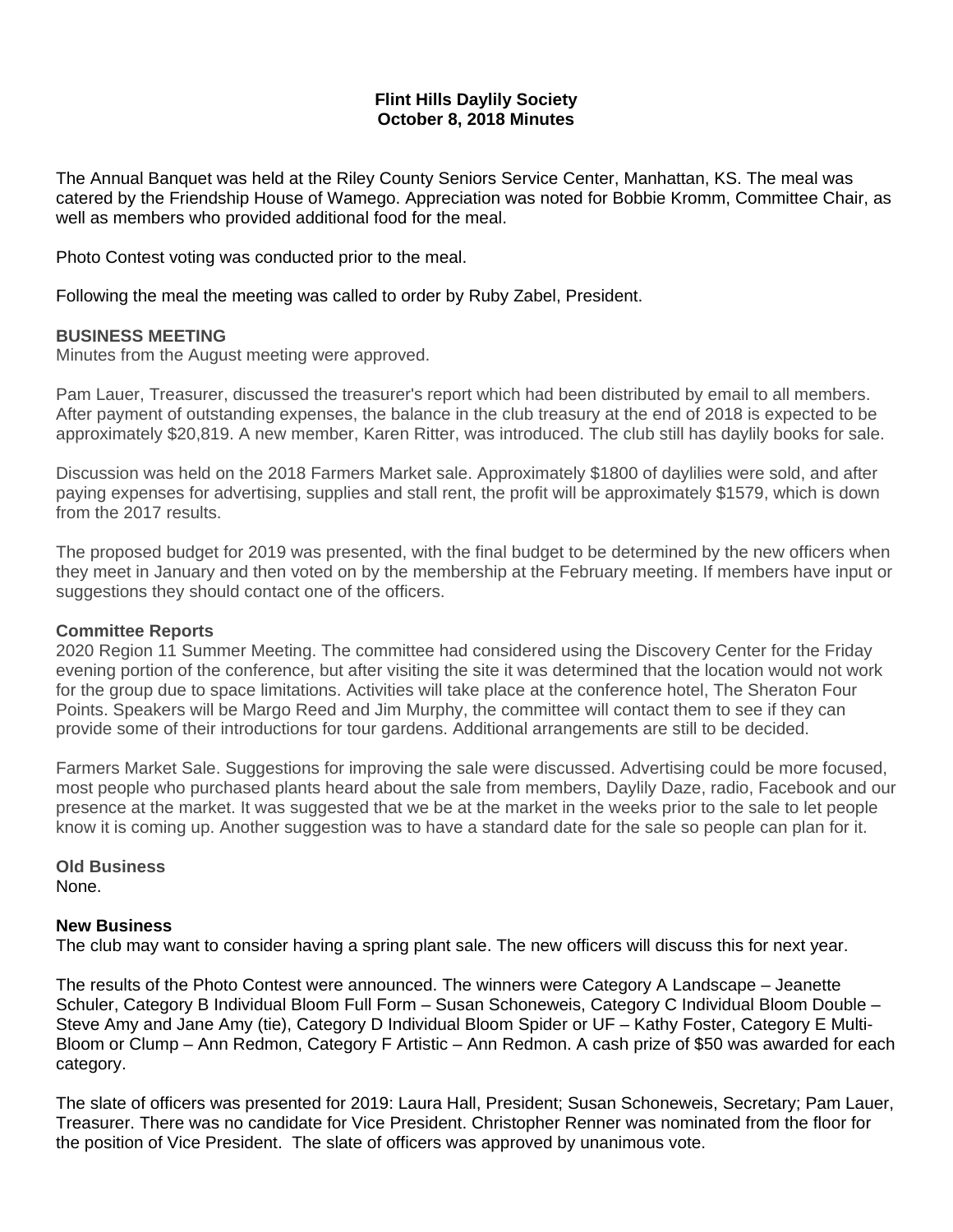### **Flint Hills Daylily Society October 8, 2018 Minutes**

The Annual Banquet was held at the Riley County Seniors Service Center, Manhattan, KS. The meal was catered by the Friendship House of Wamego. Appreciation was noted for Bobbie Kromm, Committee Chair, as well as members who provided additional food for the meal.

Photo Contest voting was conducted prior to the meal.

Following the meal the meeting was called to order by Ruby Zabel, President.

#### **BUSINESS MEETING**

Minutes from the August meeting were approved.

Pam Lauer, Treasurer, discussed the treasurer's report which had been distributed by email to all members. After payment of outstanding expenses, the balance in the club treasury at the end of 2018 is expected to be approximately \$20,819. A new member, Karen Ritter, was introduced. The club still has daylily books for sale.

Discussion was held on the 2018 Farmers Market sale. Approximately \$1800 of daylilies were sold, and after paying expenses for advertising, supplies and stall rent, the profit will be approximately \$1579, which is down from the 2017 results.

The proposed budget for 2019 was presented, with the final budget to be determined by the new officers when they meet in January and then voted on by the membership at the February meeting. If members have input or suggestions they should contact one of the officers.

#### **Committee Reports**

2020 Region 11 Summer Meeting. The committee had considered using the Discovery Center for the Friday evening portion of the conference, but after visiting the site it was determined that the location would not work for the group due to space limitations. Activities will take place at the conference hotel, The Sheraton Four Points. Speakers will be Margo Reed and Jim Murphy, the committee will contact them to see if they can provide some of their introductions for tour gardens. Additional arrangements are still to be decided.

Farmers Market Sale. Suggestions for improving the sale were discussed. Advertising could be more focused, most people who purchased plants heard about the sale from members, Daylily Daze, radio, Facebook and our presence at the market. It was suggested that we be at the market in the weeks prior to the sale to let people know it is coming up. Another suggestion was to have a standard date for the sale so people can plan for it.

### **Old Business**

None.

### **New Business**

The club may want to consider having a spring plant sale. The new officers will discuss this for next year.

The results of the Photo Contest were announced. The winners were Category A Landscape – Jeanette Schuler, Category B Individual Bloom Full Form – Susan Schoneweis, Category C Individual Bloom Double – Steve Amy and Jane Amy (tie), Category D Individual Bloom Spider or UF – Kathy Foster, Category E Multi-Bloom or Clump – Ann Redmon, Category F Artistic – Ann Redmon. A cash prize of \$50 was awarded for each category.

The slate of officers was presented for 2019: Laura Hall, President; Susan Schoneweis, Secretary; Pam Lauer, Treasurer. There was no candidate for Vice President. Christopher Renner was nominated from the floor for the position of Vice President. The slate of officers was approved by unanimous vote.